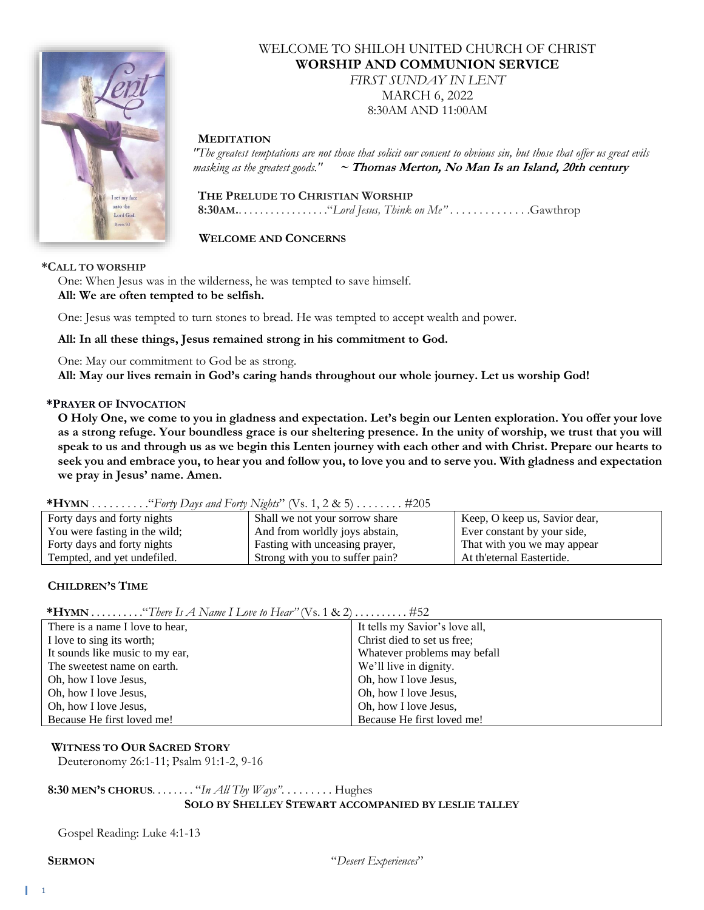

# WELCOME TO SHILOH UNITED CHURCH OF CHRIST **WORSHIP AND COMMUNION SERVICE**

*FIRST SUNDAY IN LENT* MARCH 6, 2022 8:30AM AND 11:00AM

#### **MEDITATION**

*"The greatest temptations are not those that solicit our consent to obvious sin, but those that offer us great evils masking as the greatest goods."* **~ Thomas Merton, No Man Is an Island, 20th century**

 **THE PRELUDE TO CHRISTIAN WORSHIP 8:30AM.**. . . . . . . . . . . . . . . . ."*Lord Jesus, Think on Me"* . . . . . . . . . . . . . .Gawthrop

 **WELCOME AND CONCERNS**

#### **\*CALL TO WORSHIP**

One: When Jesus was in the wilderness, he was tempted to save himself. **All: We are often tempted to be selfish.**

One: Jesus was tempted to turn stones to bread. He was tempted to accept wealth and power.

**All: In all these things, Jesus remained strong in his commitment to God.**

One: May our commitment to God be as strong. **All: May our lives remain in God's caring hands throughout our whole journey. Let us worship God!**

#### **\*PRAYER OF INVOCATION**

**O Holy One, we come to you in gladness and expectation. Let's begin our Lenten exploration. You offer your love as a strong refuge. Your boundless grace is our sheltering presence. In the unity of worship, we trust that you will speak to us and through us as we begin this Lenten journey with each other and with Christ. Prepare our hearts to seek you and embrace you, to hear you and follow you, to love you and to serve you. With gladness and expectation we pray in Jesus' name. Amen.**

| Forty days and forty nights   | Shall we not your sorrow share  | Keep, O keep us, Savior dear, |  |  |
|-------------------------------|---------------------------------|-------------------------------|--|--|
| You were fasting in the wild; | And from worldly joys abstain,  | Ever constant by your side,   |  |  |
| Forty days and forty nights   | Fasting with unceasing prayer,  | That with you we may appear   |  |  |
| Tempted, and yet undefiled.   | Strong with you to suffer pain? | At th'eternal Eastertide.     |  |  |

#### **CHILDREN'S TIME**

**\*HYMN** . . . . . . . . . ."*There Is A Name I Love to Hear"* (Vs. 1 & 2) . . . . . . . . . . #52

| There is a name I love to hear, | It tells my Savior's love all, |
|---------------------------------|--------------------------------|
| I love to sing its worth;       | Christ died to set us free;    |
| It sounds like music to my ear, | Whatever problems may befall   |
| The sweetest name on earth.     | We'll live in dignity.         |
| Oh, how I love Jesus,           | Oh, how I love Jesus,          |
| Oh, how I love Jesus,           | Oh, how I love Jesus,          |
| Oh, how I love Jesus,           | Oh, how I love Jesus,          |
| Because He first loved me!      | Because He first loved me!     |

#### **WITNESS TO OUR SACRED STORY**

Deuteronomy 26:1-11; Psalm 91:1-2, 9-16

#### **8:30 MEN'S CHORUS**. . . . . . . . "*In All Thy Ways"*. . . . . . . . . Hughes **SOLO BY SHELLEY STEWART ACCOMPANIED BY LESLIE TALLEY**

Gospel Reading: Luke 4:1-13

**SERMON** "*Desert Experiences*"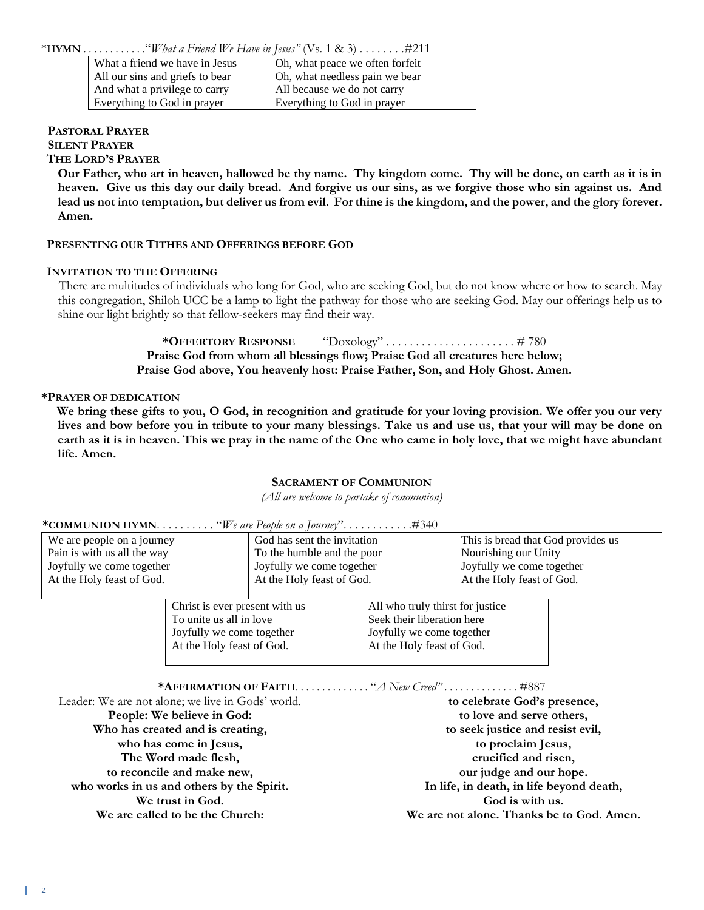| What a friend we have in Jesus  | Oh, what peace we often forfeit |
|---------------------------------|---------------------------------|
| All our sins and griefs to bear | Oh, what needless pain we bear  |
| And what a privilege to carry   | All because we do not carry     |
| Everything to God in prayer     | Everything to God in prayer     |

#### **PASTORAL PRAYER SILENT PRAYER**

# **THE LORD'S PRAYER**

**Our Father, who art in heaven, hallowed be thy name. Thy kingdom come. Thy will be done, on earth as it is in heaven. Give us this day our daily bread. And forgive us our sins, as we forgive those who sin against us. And lead us not into temptation, but deliver us from evil. For thine is the kingdom, and the power, and the glory forever. Amen.**

#### **PRESENTING OUR TITHES AND OFFERINGS BEFORE GOD**

#### **INVITATION TO THE OFFERING**

There are multitudes of individuals who long for God, who are seeking God, but do not know where or how to search. May this congregation, Shiloh UCC be a lamp to light the pathway for those who are seeking God. May our offerings help us to shine our light brightly so that fellow-seekers may find their way.

> **\*OFFERTORY RESPONSE** "Doxology" . . . . . . . . . . . . . . . . . . . . . . # 780 **Praise God from whom all blessings flow; Praise God all creatures here below; Praise God above, You heavenly host: Praise Father, Son, and Holy Ghost. Amen.**

#### **\*PRAYER OF DEDICATION**

**We bring these gifts to you, O God, in recognition and gratitude for your loving provision. We offer you our very lives and bow before you in tribute to your many blessings. Take us and use us, that your will may be done on earth as it is in heaven. This we pray in the name of the One who came in holy love, that we might have abundant life. Amen.**

#### **SACRAMENT OF COMMUNION**

*(All are welcome to partake of communion)*

| We are people on a journey  |                                | God has sent the invitation |                                  | This is bread that God provides us |  |
|-----------------------------|--------------------------------|-----------------------------|----------------------------------|------------------------------------|--|
| Pain is with us all the way |                                | To the humble and the poor  |                                  | Nourishing our Unity               |  |
| Joyfully we come together   |                                | Joyfully we come together   |                                  | Joyfully we come together          |  |
| At the Holy feast of God.   |                                | At the Holy feast of God.   |                                  | At the Holy feast of God.          |  |
|                             |                                |                             |                                  |                                    |  |
|                             | Christ is ever present with us |                             | All who truly thirst for justice |                                    |  |
|                             | To unite us all in love        |                             | Seek their liberation here       |                                    |  |

Joyfully we come together

| At the Holy feast of God.                         | At the Holy feast of God.                         |  |
|---------------------------------------------------|---------------------------------------------------|--|
|                                                   | <b>*AFFIRMATION OF FAITH.</b> "A New Creed". #887 |  |
| Leader: We are not alone; we live in Gods' world. | to celebrate God's presence,                      |  |
| People: We believe in God:                        | to love and serve others,                         |  |
| Who has created and is creating,                  | to seek justice and resist evil,                  |  |
| who has come in Jesus,                            | to proclaim Jesus,                                |  |
| The Word made flesh,                              | crucified and risen,                              |  |
| to reconcile and make new,                        | our judge and our hope.                           |  |
| who works in us and others by the Spirit.         | In life, in death, in life beyond death,          |  |

Joyfully we come together

**We trust in God. We are called to be the Church:**

**God is with us. We are not alone. Thanks be to God. Amen.**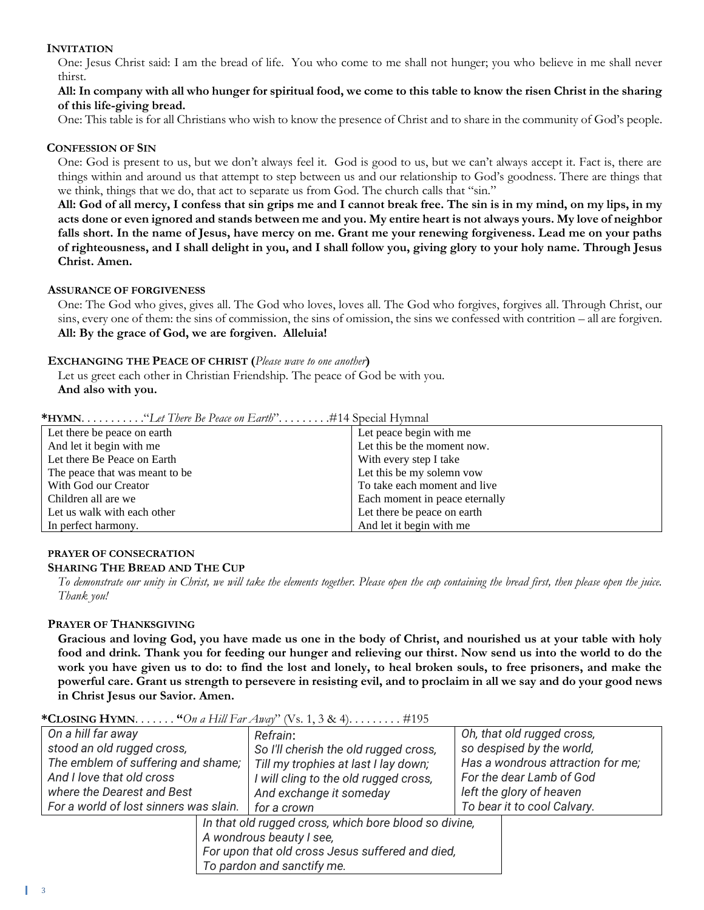### **INVITATION**

One: Jesus Christ said: I am the bread of life. You who come to me shall not hunger; you who believe in me shall never thirst.

#### **All: In company with all who hunger for spiritual food, we come to this table to know the risen Christ in the sharing of this life-giving bread.**

One: This table is for all Christians who wish to know the presence of Christ and to share in the community of God's people.

#### **CONFESSION OF SIN**

One: God is present to us, but we don't always feel it. God is good to us, but we can't always accept it. Fact is, there are things within and around us that attempt to step between us and our relationship to God's goodness. There are things that we think, things that we do, that act to separate us from God. The church calls that "sin."

**All: God of all mercy, I confess that sin grips me and I cannot break free. The sin is in my mind, on my lips, in my acts done or even ignored and stands between me and you. My entire heart is not always yours. My love of neighbor falls short. In the name of Jesus, have mercy on me. Grant me your renewing forgiveness. Lead me on your paths of righteousness, and I shall delight in you, and I shall follow you, giving glory to your holy name. Through Jesus Christ. Amen.**

#### **ASSURANCE OF FORGIVENESS**

One: The God who gives, gives all. The God who loves, loves all. The God who forgives, forgives all. Through Christ, our sins, every one of them: the sins of commission, the sins of omission, the sins we confessed with contrition – all are forgiven. **All: By the grace of God, we are forgiven. Alleluia!**

#### **EXCHANGING THE PEACE OF CHRIST (***Please wave to one another***)**

Let us greet each other in Christian Friendship. The peace of God be with you. **And also with you.**

**\*HYMN**. . . . . . . . . . ."*Let There Be Peace on Earth*". . . . . . . . .#14 Special Hymnal

| Let there be peace on earth     | Let peace begin with me        |
|---------------------------------|--------------------------------|
| And let it begin with me        | Let this be the moment now.    |
| Let there Be Peace on Earth     | With every step I take         |
| The peace that was meant to be. | Let this be my solemn vow      |
| With God our Creator            | To take each moment and live   |
| Children all are we             | Each moment in peace eternally |
| Let us walk with each other     | Let there be peace on earth    |
| In perfect harmony.             | And let it begin with me       |

#### **PRAYER OF CONSECRATION SHARING THE BREAD AND THE CUP**

*To demonstrate our unity in Christ, we will take the elements together. Please open the cup containing the bread first, then please open the juice. Thank you!*

## **PRAYER OF THANKSGIVING**

**Gracious and loving God, you have made us one in the body of Christ, and nourished us at your table with holy food and drink. Thank you for feeding our hunger and relieving our thirst. Now send us into the world to do the work you have given us to do: to find the lost and lonely, to heal broken souls, to free prisoners, and make the powerful care. Grant us strength to persevere in resisting evil, and to proclaim in all we say and do your good news in Christ Jesus our Savior. Amen.**

| On a hill far away                     | Refrain:                                              | Oh, that old rugged cross,        |
|----------------------------------------|-------------------------------------------------------|-----------------------------------|
| stood an old rugged cross,             | So I'll cherish the old rugged cross,                 | so despised by the world,         |
| The emblem of suffering and shame;     | Till my trophies at last I lay down;                  | Has a wondrous attraction for me; |
| And I love that old cross              | I will cling to the old rugged cross,                 | For the dear Lamb of God          |
| where the Dearest and Best             | And exchange it someday                               | left the glory of heaven          |
| For a world of lost sinners was slain. | for a crown                                           | To bear it to cool Calvary.       |
|                                        | In that old rugged cross, which bore blood so divine, |                                   |
| A wondrous beauty I see,               |                                                       |                                   |
|                                        | For upon that old cross Jesus suffered and died,      |                                   |
|                                        | To pardon and sanctify me.                            |                                   |

#### **\*CLOSING HYMN**. . . . . . . **"***On a Hill Far Away*" (Vs. 1, 3 & 4). . . . . . . . . #195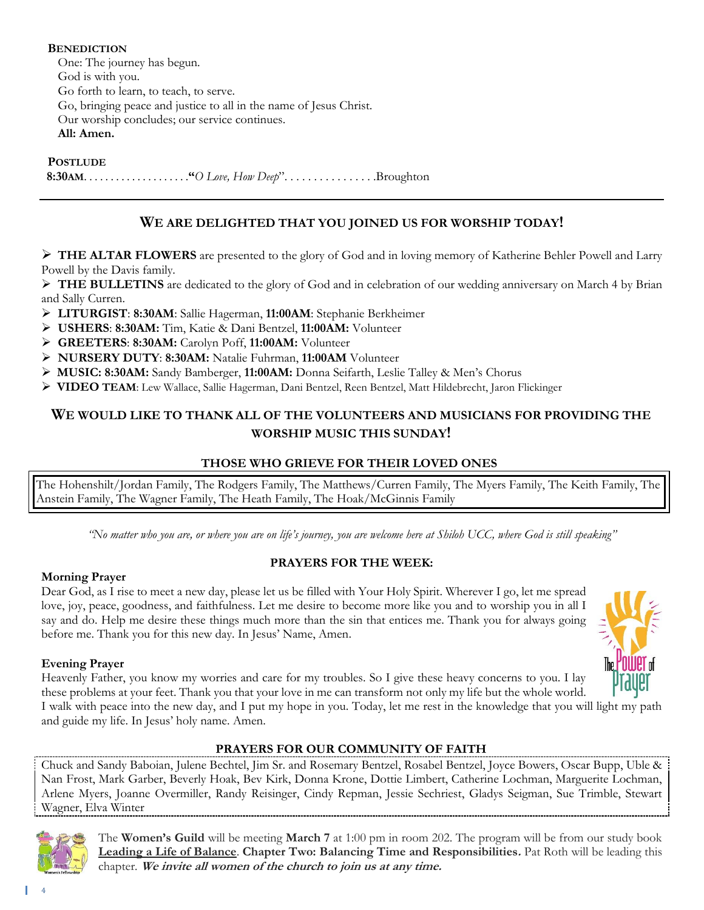**BENEDICTION** One: The journey has begun. God is with you. Go forth to learn, to teach, to serve. Go, bringing peace and justice to all in the name of Jesus Christ. Our worship concludes; our service continues. **All: Amen.**

**POSTLUDE**

 **8:30AM**. . . . . . . . . . . . . . . . . . . .**"***O Love, How Deep*". . . . . . . . . . . . . . . .Broughton

# **WE ARE DELIGHTED THAT YOU JOINED US FOR WORSHIP TODAY!**

➢ **THE ALTAR FLOWERS** are presented to the glory of God and in loving memory of Katherine Behler Powell and Larry Powell by the Davis family.

➢ **THE BULLETINS** are dedicated to the glory of God and in celebration of our wedding anniversary on March 4 by Brian and Sally Curren.

- ➢ **LITURGIST**: **8:30AM**: Sallie Hagerman, **11:00AM**: Stephanie Berkheimer
- ➢ **USHERS**: **8:30AM:** Tim, Katie & Dani Bentzel, **11:00AM:** Volunteer
- ➢ **GREETERS**: **8:30AM:** Carolyn Poff, **11:00AM:** Volunteer
- ➢ **NURSERY DUTY**: **8:30AM:** Natalie Fuhrman, **11:00AM** Volunteer
- ➢ **MUSIC: 8:30AM:** Sandy Bamberger, **11:00AM:** Donna Seifarth, Leslie Talley & Men's Chorus
- ➢ **VIDEO TEAM**: Lew Wallace, Sallie Hagerman, Dani Bentzel, Reen Bentzel, Matt Hildebrecht, Jaron Flickinger

# **WE WOULD LIKE TO THANK ALL OF THE VOLUNTEERS AND MUSICIANS FOR PROVIDING THE WORSHIP MUSIC THIS SUNDAY!**

## **THOSE WHO GRIEVE FOR THEIR LOVED ONES**

The Hohenshilt/Jordan Family, The Rodgers Family, The Matthews/Curren Family, The Myers Family, The Keith Family, The Anstein Family, The Wagner Family, The Heath Family, The Hoak/McGinnis Family

"No matter who you are, or where you are on life's journey, you are welcome here at Shiloh UCC, where God is still speaking"

# **PRAYERS FOR THE WEEK:**

Dear God, as I rise to meet a new day, please let us be filled with Your Holy Spirit. Wherever I go, let me spread love, joy, peace, goodness, and faithfulness. Let me desire to become more like you and to worship you in all I say and do. Help me desire these things much more than the sin that entices me. Thank you for always going before me. Thank you for this new day. In Jesus' Name, Amen.

# **Evening Prayer**

**Morning Prayer** 

Heavenly Father, you know my worries and care for my troubles. So I give these heavy concerns to you. I lay these problems at your feet. Thank you that your love in me can transform not only my life but the whole world. I walk with peace into the new day, and I put my hope in you. Today, let me rest in the knowledge that you will light my path and guide my life. In Jesus' holy name. Amen.

# **PRAYERS FOR OUR COMMUNITY OF FAITH**

Chuck and Sandy Baboian, Julene Bechtel, Jim Sr. and Rosemary Bentzel, Rosabel Bentzel, Joyce Bowers, Oscar Bupp, Uble & Nan Frost, Mark Garber, Beverly Hoak, Bev Kirk, Donna Krone, Dottie Limbert, Catherine Lochman, Marguerite Lochman, Arlene Myers, Joanne Overmiller, Randy Reisinger, Cindy Repman, Jessie Sechriest, Gladys Seigman, Sue Trimble, Stewart Wagner, Elva Winter



The **Women's Guild** will be meeting **March 7** at 1:00 pm in room 202. The program will be from our study book **Leading a Life of Balance**. **Chapter Two: Balancing Time and Responsibilities.** Pat Roth will be leading this chapter*.* **We invite all women of the church to join us at any time.**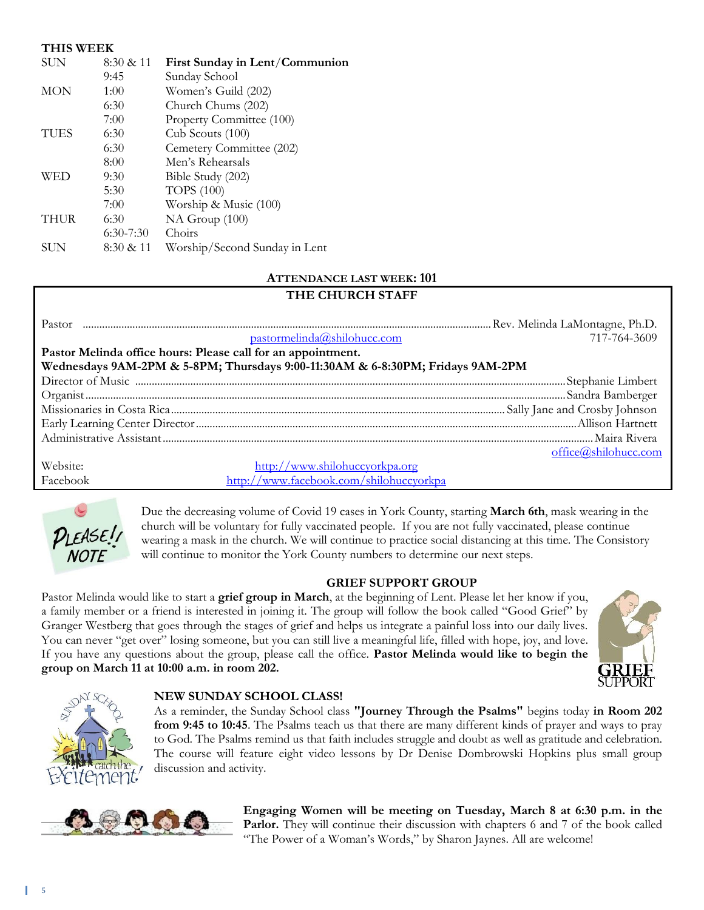## **THIS WEEK**

| <b>SUN</b>  | 8:30 & 11   | First Sunday in Lent/Communion |
|-------------|-------------|--------------------------------|
|             | 9:45        | Sunday School                  |
| <b>MON</b>  | 1:00        | Women's Guild (202)            |
|             | 6:30        | Church Chums (202)             |
|             | 7:00        | Property Committee (100)       |
| <b>TUES</b> | 6:30        | Cub Scouts (100)               |
|             | 6:30        | Cemetery Committee (202)       |
|             | 8:00        | Men's Rehearsals               |
| WED         | 9:30        | Bible Study (202)              |
|             | 5:30        | <b>TOPS</b> (100)              |
|             | 7:00        | Worship & Music (100)          |
| <b>THUR</b> | 6:30        | NA Group (100)                 |
|             | $6:30-7:30$ | Choirs                         |
| SUN         | 8:30 & 11   | Worship/Second Sunday in Lent  |

## **ATTENDANCE LAST WEEK: 101**

# **THE CHURCH STAFF**

| Pastor                                                       |                                                                                |                      |
|--------------------------------------------------------------|--------------------------------------------------------------------------------|----------------------|
|                                                              | pastormelinda@shilohucc.com                                                    | 717-764-3609         |
| Pastor Melinda office hours: Please call for an appointment. |                                                                                |                      |
|                                                              | Wednesdays 9AM-2PM & 5-8PM; Thursdays 9:00-11:30AM & 6-8:30PM; Fridays 9AM-2PM |                      |
|                                                              |                                                                                |                      |
|                                                              |                                                                                |                      |
|                                                              |                                                                                |                      |
|                                                              |                                                                                |                      |
|                                                              |                                                                                |                      |
|                                                              |                                                                                | office@shilohucc.com |
| Website:                                                     | http://www.shilohuccyorkpa.org                                                 |                      |
| Facebook                                                     | http://www.facebook.com/shilohuccyorkpa                                        |                      |



Due the decreasing volume of Covid 19 cases in York County, starting **March 6th**, mask wearing in the church will be voluntary for fully vaccinated people. If you are not fully vaccinated, please continue wearing a mask in the church. We will continue to practice social distancing at this time. The Consistory will continue to monitor the York County numbers to determine our next steps.

#### **GRIEF SUPPORT GROUP**

Pastor Melinda would like to start a **grief group in March**, at the beginning of Lent. Please let her know if you, a family member or a friend is interested in joining it. The group will follow the book called "Good Grief" by Granger Westberg that goes through the stages of grief and helps us integrate a painful loss into our daily lives. You can never "get over" losing someone, but you can still live a meaningful life, filled with hope, joy, and love. If you have any questions about the group, please call the office. **Pastor Melinda would like to begin the group on March 11 at 10:00 a.m. in room 202.**





### **NEW SUNDAY SCHOOL CLASS!**

As a reminder, the Sunday School class **"Journey Through the Psalms"** begins today **in Room 202 from 9:45 to 10:45**. The Psalms teach us that there are many different kinds of prayer and ways to pray to God. The Psalms remind us that faith includes struggle and doubt as well as gratitude and celebration. The course will feature eight video lessons by Dr Denise Dombrowski Hopkins plus small group discussion and activity.



**Engaging Women will be meeting on Tuesday, March 8 at 6:30 p.m. in the Parlor.** They will continue their discussion with chapters 6 and 7 of the book called "The Power of a Woman's Words," by Sharon Jaynes. All are welcome!